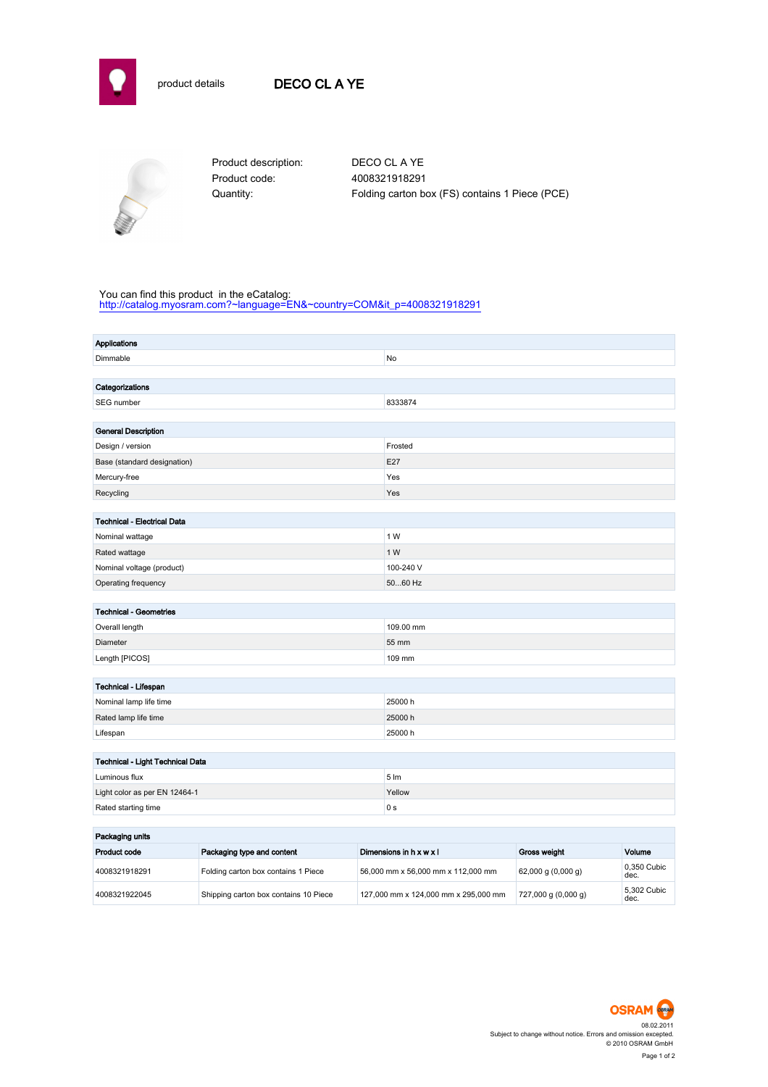

## product details DECO CL A YE



Product code: 4008321918291

Product description: DECO CL A YE Quantity: Folding carton box (FS) contains 1 Piece (PCE)

#### You can find this product in the eCatalog:

[http://catalog.myosram.com?~language=EN&~country=COM&it\\_p=4008321918291](http://catalog.myosram.com?~language=EN&~country=COM&it_p=4008321918291)

| <b>Applications</b>                  |                  |
|--------------------------------------|------------------|
| Dimmable                             | No               |
|                                      |                  |
| Categorizations                      |                  |
| SEG number                           | 8333874          |
|                                      |                  |
| <b>General Description</b>           |                  |
| Design / version                     | Frosted          |
| Base (standard designation)          | E27              |
| Mercury-free                         | Yes              |
| Recycling                            | Yes              |
|                                      |                  |
| Technical - Electrical Data          |                  |
| Nominal wattage                      | 1 W              |
| Rated wattage                        | 1 W              |
| Nominal voltage (product)            | 100-240 V        |
| Operating frequency                  | 5060 Hz          |
|                                      |                  |
| <b>Technical - Geometries</b>        |                  |
| Overall length                       | 109.00 mm        |
| Diameter                             | 55 mm            |
| Length [PICOS]                       | 109 mm           |
|                                      |                  |
| Technical - Lifespan                 |                  |
| Nominal lamp life time               | 25000 h          |
| Rated lamp life time                 | 25000h           |
| Lifespan                             | 25000 h          |
|                                      |                  |
| Technical - Light Technical Data     |                  |
| Luminous flux                        | $5 \, \text{Im}$ |
| Light color as per EN 12464-1        | Yellow           |
| Rated starting time                  | 0 <sub>s</sub>   |
|                                      |                  |
| the company's state of the company's |                  |

| Packaging units     |                                       |                                      |                         |                     |  |
|---------------------|---------------------------------------|--------------------------------------|-------------------------|---------------------|--|
| <b>Product code</b> | Packaging type and content            | Dimensions in h x w x l              | <b>Gross weight</b>     | Volume              |  |
| 4008321918291       | Folding carton box contains 1 Piece   | 56,000 mm x 56,000 mm x 112,000 mm   | $62,000$ g $(0,000$ g)  | 0.350 Cubic<br>dec. |  |
| 4008321922045       | Shipping carton box contains 10 Piece | 127,000 mm x 124,000 mm x 295,000 mm | $727,000$ g $(0,000$ g) | 5.302 Cubic<br>dec. |  |